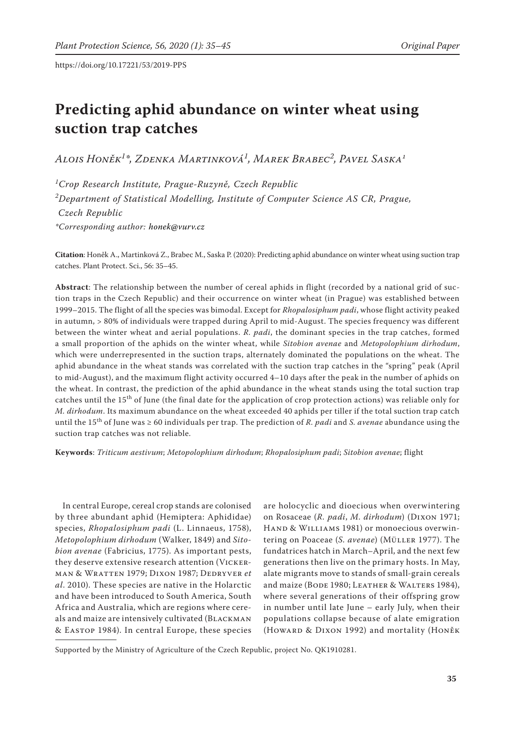# **Predicting aphid abundance on winter wheat using suction trap catches**

*Alois Honěk<sup>1</sup> \*, Zdenka Martinková<sup>1</sup> , Marek Brabec<sup>2</sup> , Pavel Saska<sup>1</sup>*

*1 Crop Research Institute, Prague-Ruzyně, Czech Republic 2 Department of Statistical Modelling, Institute of Computer Science AS CR, Prague, Czech Republic \*Corresponding author: honek@vurv.cz*

**Citation**: Honěk A., Martinková Z., Brabec M., Saska P. (2020): Predicting aphid abundance on winter wheat using suction trap catches. Plant Protect. Sci., 56: 35–45.

**Abstract**: The relationship between the number of cereal aphids in flight (recorded by a national grid of suction traps in the Czech Republic) and their occurrence on winter wheat (in Prague) was established between 1999–2015. The flight of all the species was bimodal. Except for *Rhopalosiphum padi*, whose flight activity peaked in autumn, > 80% of individuals were trapped during April to mid-August. The species frequency was different between the winter wheat and aerial populations. *R. padi*, the dominant species in the trap catches, formed a small proportion of the aphids on the winter wheat, while *Sitobion avenae* and *Metopolophium dirhodum*, which were underrepresented in the suction traps, alternately dominated the populations on the wheat. The aphid abundance in the wheat stands was correlated with the suction trap catches in the "spring" peak (April to mid-August), and the maximum flight activity occurred 4–10 days after the peak in the number of aphids on the wheat. In contrast, the prediction of the aphid abundance in the wheat stands using the total suction trap catches until the 15th of June (the final date for the application of crop protection actions) was reliable only for *M. dirhodum*. Its maximum abundance on the wheat exceeded 40 aphids per tiller if the total suction trap catch until the 15th of June was ≥ 60 individuals per trap. The prediction of *R. padi* and *S. avenae* abundance using the suction trap catches was not reliable.

**Keywords**: *Triticum aestivum*; *Metopolophium dirhodum*; *Rhopalosiphum padi*; *Sitobion avenae*; flight

In central Europe, cereal crop stands are colonised by three abundant aphid (Hemiptera: Aphididae) species, *Rhopalosiphum padi* (L. Linnaeus, 1758), *Metopolophium dirhodum* (Walker, 1849) and *Sitobion avenae* (Fabricius, 1775). As important pests, they deserve extensive research attention (Vickerman & Wratten 1979; Dixon 1987; Dedryver *et al*. 2010). These species are native in the Holarctic and have been introduced to South America, South Africa and Australia, which are regions where cereals and maize are intensively cultivated (Blackman & Eastop 1984). In central Europe, these species

are holocyclic and dioecious when overwintering on Rosaceae (*R. padi*, *M. dirhodum*) (Dixon 1971; Hand & Williams 1981) or monoecious overwintering on Poaceae (*S. avenae*) (Müller 1977). The fundatrices hatch in March–April, and the next few generations then live on the primary hosts. In May, alate migrants move to stands of small-grain cereals and maize (BODE 1980; LEATHER & WALTERS 1984), where several generations of their offspring grow in number until late June – early July, when their populations collapse because of alate emigration (Howard & Dixon 1992) and mortality (Honěk

Supported by the Ministry of Agriculture of the Czech Republic, project No. QK1910281.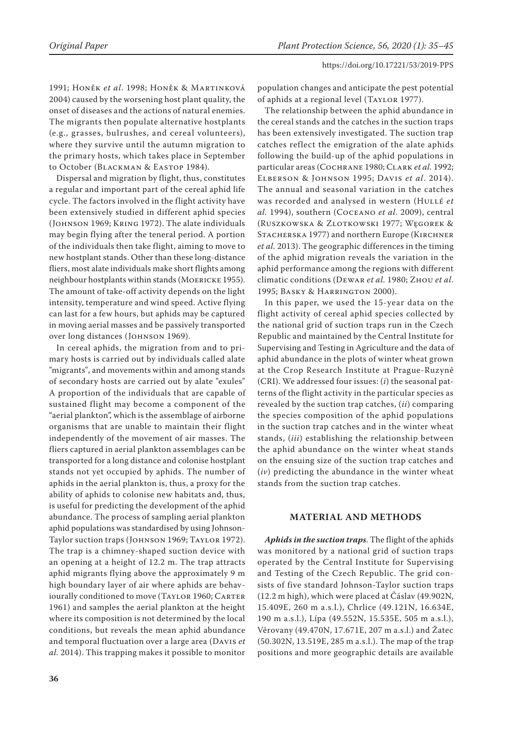1991; Honěk *et al*. 1998; Honěk & Martinková 2004) caused by the worsening host plant quality, the onset of diseases and the actions of natural enemies. The migrants then populate alternative hostplants (e.g., grasses, bulrushes, and cereal volunteers), where they survive until the autumn migration to the primary hosts, which takes place in September to October (Blackman & Eastop 1984).

Dispersal and migration by flight, thus, constitutes a regular and important part of the cereal aphid life cycle. The factors involved in the flight activity have been extensively studied in different aphid species (Johnson 1969; Kring 1972). The alate individuals may begin flying after the teneral period. A portion of the individuals then take flight, aiming to move to new hostplant stands. Other than these long-distance fliers, most alate individuals make short flights among neighbour hostplants within stands (Moericke 1955). The amount of take-off activity depends on the light intensity, temperature and wind speed. Active flying can last for a few hours, but aphids may be captured in moving aerial masses and be passively transported over long distances (JOHNSON 1969).

In cereal aphids, the migration from and to primary hosts is carried out by individuals called alate "migrants", and movements within and among stands of secondary hosts are carried out by alate "exules" A proportion of the individuals that are capable of sustained flight may become a component of the "aerial plankton", which is the assemblage of airborne organisms that are unable to maintain their flight independently of the movement of air masses. The fliers captured in aerial plankton assemblages can be transported for a long distance and colonise hostplant stands not yet occupied by aphids. The number of aphids in the aerial plankton is, thus, a proxy for the ability of aphids to colonise new habitats and, thus, is useful for predicting the development of the aphid abundance. The process of sampling aerial plankton aphid populations was standardised by using Johnson-Taylor suction traps (JOHNSON 1969; TAYLOR 1972). The trap is a chimney-shaped suction device with an opening at a height of 12.2 m. The trap attracts aphid migrants flying above the approximately 9 m high boundary layer of air where aphids are behaviourally conditioned to move (TAYLOR 1960; CARTER 1961) and samples the aerial plankton at the height where its composition is not determined by the local conditions, but reveals the mean aphid abundance and temporal fluctuation over a large area (Davis *et al.* 2014). This trapping makes it possible to monitor

population changes and anticipate the pest potential of aphids at a regional level (Taylor 1977).

The relationship between the aphid abundance in the cereal stands and the catches in the suction traps has been extensively investigated. The suction trap catches reflect the emigration of the alate aphids following the build-up of the aphid populations in particular areas (Cochrane 1980; Clark *et al.* 1992; Elberson & Johnson 1995; Davis *et al*. 2014). The annual and seasonal variation in the catches was recorded and analysed in western (Hullé *et al.* 1994), southern (Coceano *et al*. 2009), central (Ruszkowska & Zlotkowski 1977; Węgorek & STACHERSKA 1977) and northern Europe (KIRCHNER *et al.* 2013). The geographic differences in the timing of the aphid migration reveals the variation in the aphid performance among the regions with different climatic conditions (Dewar *et al.* 1980; Zhou *et al*. 1995; Basky & Harrington 2000).

In this paper, we used the 15-year data on the flight activity of cereal aphid species collected by the national grid of suction traps run in the Czech Republic and maintained by the Central Institute for Supervising and Testing in Agriculture and the data of aphid abundance in the plots of winter wheat grown at the Crop Research Institute at Prague-Ruzyně (CRI). We addressed four issues: (*i*) the seasonal patterns of the flight activity in the particular species as revealed by the suction trap catches, (*ii*) comparing the species composition of the aphid populations in the suction trap catches and in the winter wheat stands, (*iii*) establishing the relationship between the aphid abundance on the winter wheat stands on the ensuing size of the suction trap catches and (*iv*) predicting the abundance in the winter wheat stands from the suction trap catches.

# **MATERIAL AND METHODS**

*Aphids in the suction traps*. The flight of the aphids was monitored by a national grid of suction traps operated by the Central Institute for Supervising and Testing of the Czech Republic. The grid consists of five standard Johnson-Taylor suction traps (12.2 m high), which were placed at Čáslav (49.902N, 15.409E, 260 m a.s.l.), Chrlice (49.121N, 16.634E, 190 m a.s.l.), Lípa (49.552N, 15.535E, 505 m a.s.l.), Věrovany (49.470N, 17.671E, 207 m a.s.l.) and Žatec (50.302N, 13.519E, 285 m a.s.l.). The map of the trap positions and more geographic details are available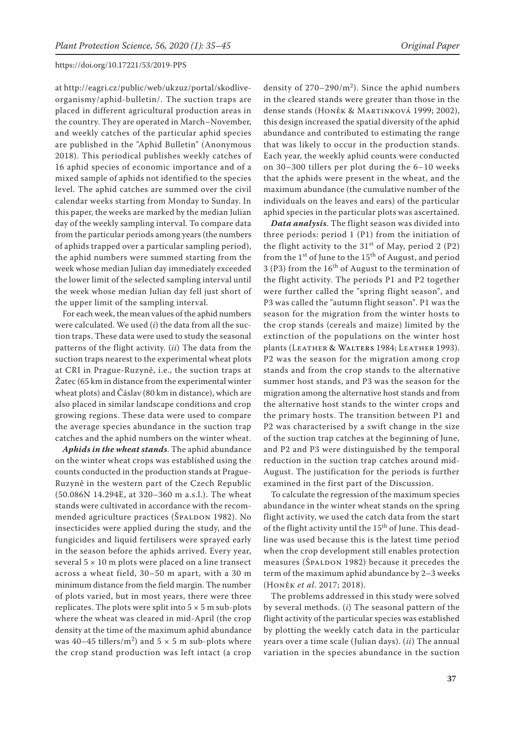at http://eagri.cz/public/web/ukzuz/portal/skodliveorganismy/aphid-bulletin/. The suction traps are placed in different agricultural production areas in the country. They are operated in March–November, and weekly catches of the particular aphid species are published in the "Aphid Bulletin" (Anonymous 2018). This periodical publishes weekly catches of 16 aphid species of economic importance and of a mixed sample of aphids not identified to the species level. The aphid catches are summed over the civil calendar weeks starting from Monday to Sunday. In this paper, the weeks are marked by the median Julian day of the weekly sampling interval. To compare data from the particular periods among years (the numbers of aphids trapped over a particular sampling period), the aphid numbers were summed starting from the week whose median Julian day immediately exceeded the lower limit of the selected sampling interval until the week whose median Julian day fell just short of the upper limit of the sampling interval.

For each week, the mean values of the aphid numbers were calculated. We used (*i*) the data from all the suction traps. These data were used to study the seasonal patterns of the flight activity. (*ii*) The data from the suction traps nearest to the experimental wheat plots at CRI in Prague-Ruzyně, i.e., the suction traps at Žatec (65 km in distance from the experimental winter wheat plots) and Čáslav (80 km in distance), which are also placed in similar landscape conditions and crop growing regions. These data were used to compare the average species abundance in the suction trap catches and the aphid numbers on the winter wheat.

*Aphids in the wheat stands*. The aphid abundance on the winter wheat crops was established using the counts conducted in the production stands at Prague-Ruzyně in the western part of the Czech Republic (50.086N 14.294E, at 320–360 m a.s.l.). The wheat stands were cultivated in accordance with the recommended agriculture practices (ŠPALDON 1982). No insecticides were applied during the study, and the fungicides and liquid fertilisers were sprayed early in the season before the aphids arrived. Every year, several  $5 \times 10$  m plots were placed on a line transect across a wheat field, 30–50 m apart, with a 30 m minimum distance from the field margin. The number of plots varied, but in most years, there were three replicates. The plots were split into  $5 \times 5$  m sub-plots where the wheat was cleared in mid-April (the crop density at the time of the maximum aphid abundance was 40–45 tillers/m<sup>2</sup>) and 5  $\times$  5 m sub-plots where the crop stand production was left intact (a crop

density of  $270-290/m^2$ ). Since the aphid numbers in the cleared stands were greater than those in the dense stands (Honěk & Martinková 1999; 2002), this design increased the spatial diversity of the aphid abundance and contributed to estimating the range that was likely to occur in the production stands. Each year, the weekly aphid counts were conducted on 30–300 tillers per plot during the 6–10 weeks that the aphids were present in the wheat, and the maximum abundance (the cumulative number of the individuals on the leaves and ears) of the particular aphid species in the particular plots was ascertained.

*Data analysis*. The flight season was divided into three periods: period 1 (P1) from the initiation of the flight activity to the  $31<sup>st</sup>$  of May, period 2 (P2) from the  $1^{st}$  of June to the  $15^{th}$  of August, and period 3 (P3) from the  $16<sup>th</sup>$  of August to the termination of the flight activity. The periods P1 and P2 together were further called the "spring flight season", and P3 was called the "autumn flight season". P1 was the season for the migration from the winter hosts to the crop stands (cereals and maize) limited by the extinction of the populations on the winter host plants (LEATHER & WALTERS 1984; LEATHER 1993). P2 was the season for the migration among crop stands and from the crop stands to the alternative summer host stands, and P3 was the season for the migration among the alternative host stands and from the alternative host stands to the winter crops and the primary hosts. The transition between P1 and P2 was characterised by a swift change in the size of the suction trap catches at the beginning of June, and P2 and P3 were distinguished by the temporal reduction in the suction trap catches around mid-August. The justification for the periods is further examined in the first part of the Discussion.

To calculate the regression of the maximum species abundance in the winter wheat stands on the spring flight activity, we used the catch data from the start of the flight activity until the 15<sup>th</sup> of June. This deadline was used because this is the latest time period when the crop development still enables protection measures (ŠPALDON 1982) because it precedes the term of the maximum aphid abundance by 2–3 weeks (Honěk *et al*. 2017; 2018).

The problems addressed in this study were solved by several methods. (*i*) The seasonal pattern of the flight activity of the particular species was established by plotting the weekly catch data in the particular years over a time scale (Julian days). (*ii*) The annual variation in the species abundance in the suction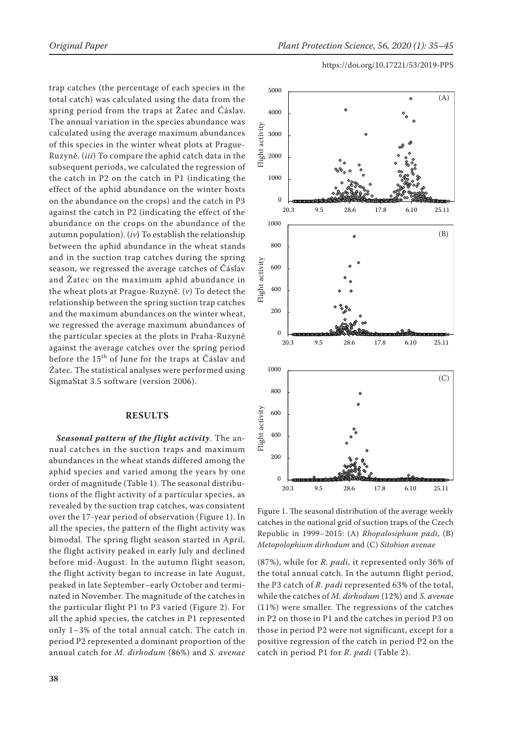trap catches (the percentage of each species in the total catch) was calculated using the data from the spring period from the traps at Žatec and Čáslav. The annual variation in the species abundance was calculated using the average maximum abundances of this species in the winter wheat plots at Prague-Ruzyně. (*iii*) To compare the aphid catch data in the subsequent periods, we calculated the regression of the catch in P2 on the catch in P1 (indicating the effect of the aphid abundance on the winter hosts on the abundance on the crops) and the catch in P3 against the catch in P2 (indicating the effect of the abundance on the crops on the abundance of the autumn population). (*iv*) To establish the relationship between the aphid abundance in the wheat stands and in the suction trap catches during the spring season, we regressed the average catches of Čáslav and Žatec on the maximum aphid abundance in the wheat plots at Prague-Ruzyně. (*v*) To detect the relationship between the spring suction trap catches and the maximum abundances on the winter wheat, we regressed the average maximum abundances of the particular species at the plots in Praha-Ruzyně against the average catches over the spring period before the 15<sup>th</sup> of June for the traps at Čáslav and Žatec. The statistical analyses were performed using SigmaStat 3.5 software (version 2006).

# **RESULTS**

*Seasonal pattern of the flight activity*. The annual catches in the suction traps and maximum abundances in the wheat stands differed among the aphid species and varied among the years by one order of magnitude (Table 1). The seasonal distributions of the flight activity of a particular species, as revealed by the suction trap catches, was consistent over the 17-year period of observation (Figure 1). In all the species, the pattern of the flight activity was bimodal. The spring flight season started in April, the flight activity peaked in early July and declined before mid-August. In the autumn flight season, the flight activity began to increase in late August, peaked in late September–early October and terminated in November. The magnitude of the catches in the particular flight P1 to P3 varied (Figure 2). For all the aphid species, the catches in P1 represented only 1–3% of the total annual catch. The catch in period P2 represented a dominant proportion of the annual catch for *M. dirhodum* (86%) and *S. avenae*



Figure 1. The seasonal distribution of the average weekly catches in the national grid of suction traps of the Czech Republic in 1999–2015: (A) *Rhopalosiphum padi*, (B) *Metopolophium dirhodum* and (C) *Sitobion avenae*

(87%), while for *R. padi,* it represented only 36% of the total annual catch. In the autumn flight period, the P3 catch of *R. padi* represented 63% of the total, while the catches of *M. dirhodum* (12%) and *S. avenae* (11%) were smaller. The regressions of the catches in P2 on those in P1 and the catches in period P3 on those in period P2 were not significant, except for a positive regression of the catch in period P2 on the catch in period P1 for *R. padi* (Table 2).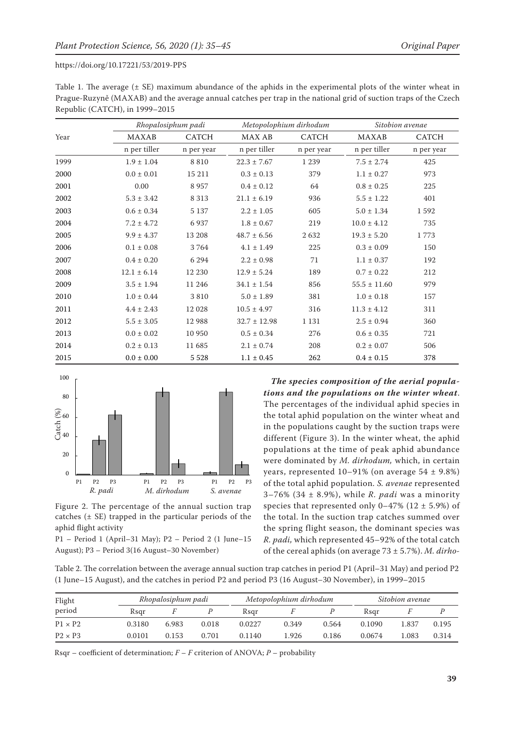Table 1. The average (± SE) maximum abundance of the aphids in the experimental plots of the winter wheat in Prague-Ruzyně (MAXAB) and the average annual catches per trap in the national grid of suction traps of the Czech Republic (CATCH), in 1999–2015

| Year |                 | Rhopalosiphum padi | Metopolophium dirhodum |              | Sitobion avenae  |            |  |
|------|-----------------|--------------------|------------------------|--------------|------------------|------------|--|
|      | <b>MAXAB</b>    | <b>CATCH</b>       | <b>MAX AB</b>          | <b>CATCH</b> | MAXAB            | CATCH      |  |
|      | n per tiller    | n per year         | n per tiller           | n per year   | n per tiller     | n per year |  |
| 1999 | $1.9 \pm 1.04$  | 8 8 1 0            | $22.3 \pm 7.67$        | 1 2 3 9      | $7.5 \pm 2.74$   | 425        |  |
| 2000 | $0.0 \pm 0.01$  | 15 211             | $0.3 \pm 0.13$         | 379          | $1.1 \pm 0.27$   | 973        |  |
| 2001 | 0.00            | 8 9 5 7            | $0.4 \pm 0.12$         | 64           | $0.8 \pm 0.25$   | 225        |  |
| 2002 | $5.3 \pm 3.42$  | 8 3 1 3            | $21.1 \pm 6.19$        | 936          | $5.5 \pm 1.22$   | 401        |  |
| 2003 | $0.6 \pm 0.34$  | 5 1 3 7            | $2.2 \pm 1.05$         | 605          | $5.0 \pm 1.34$   | 1592       |  |
| 2004 | $7.2 \pm 4.72$  | 6937               | $1.8 \pm 0.67$         | 219          | $10.0 \pm 4.12$  | 735        |  |
| 2005 | $9.9 \pm 4.37$  | 13 208             | $48.7 \pm 6.56$        | 2632         | $19.3 \pm 5.20$  | 1773       |  |
| 2006 | $0.1 \pm 0.08$  | 3764               | $4.1 \pm 1.49$         | 225          | $0.3 \pm 0.09$   | 150        |  |
| 2007 | $0.4 \pm 0.20$  | 6 2 9 4            | $2.2 \pm 0.98$         | 71           | $1.1 \pm 0.37$   | 192        |  |
| 2008 | $12.1 \pm 6.14$ | 12 2 30            | $12.9 \pm 5.24$        | 189          | $0.7 \pm 0.22$   | 212        |  |
| 2009 | $3.5 \pm 1.94$  | 11 24 6            | $34.1 \pm 1.54$        | 856          | $55.5 \pm 11.60$ | 979        |  |
| 2010 | $1.0 \pm 0.44$  | 3810               | $5.0 \pm 1.89$         | 381          | $1.0 \pm 0.18$   | 157        |  |
| 2011 | $4.4 \pm 2.43$  | 12 0 28            | $10.5 \pm 4.97$        | 316          | $11.3 \pm 4.12$  | 311        |  |
| 2012 | $5.5 \pm 3.05$  | 12 988             | $32.7 \pm 12.98$       | 1 1 3 1      | $2.5 \pm 0.94$   | 360        |  |
| 2013 | $0.0 \pm 0.02$  | 10 950             | $0.5 \pm 0.34$         | 276          | $0.6 \pm 0.35$   | 721        |  |
| 2014 | $0.2 \pm 0.13$  | 11 685             | $2.1 \pm 0.74$         | 208          | $0.2 \pm 0.07$   | 506        |  |
| 2015 | $0.0 \pm 0.00$  | 5 5 2 8            | $1.1 \pm 0.45$         | 262          | $0.4 \pm 0.15$   | 378        |  |



Figure 2. The percentage of the annual suction trap catches  $(\pm \text{ SE})$  trapped in the particular periods of the

P1 – Period 1 (April–31 May); P2 – Period 2 (1 June–15 August); P3 – Period 3(16 August–30 November)

*The species composition of the aerial populations and the populations on the winter wheat*. The percentages of the individual aphid species in the total aphid population on the winter wheat and in the populations caught by the suction traps were different (Figure 3). In the winter wheat, the aphid populations at the time of peak aphid abundance were dominated by *M. dirhodum,* which, in certain years, represented  $10-91\%$  (on average  $54 \pm 9.8\%$ ) of the total aphid population. *S. avenae* represented 3–76% (34 ± 8.9%), while *R. padi* was a minority species that represented only  $0-47\%$  (12  $\pm$  5.9%) of the total. In the suction trap catches summed over the spring flight season, the dominant species was *R. padi,* which represented 45–92% of the total catch of the cereal aphids (on average 73 ± 5.7%). *M. dirho-*

Table 2. The correlation between the average annual suction trap catches in period P1 (April–31 May) and period P2 (1 June–15 August), and the catches in period P2 and period P3 (16 August–30 November), in 1999–2015

| Flight         | Rhopalosiphum padi |       |       | Metopolophium dirhodum |       |       | Sitobion avenae |       |       |
|----------------|--------------------|-------|-------|------------------------|-------|-------|-----------------|-------|-------|
| period         | Rsar               |       |       | Rsgr                   |       |       | Rsar            |       |       |
| $P1 \times P2$ | 0.3180             | 6.983 | 0.018 | 0.0227                 | 0.349 | 0.564 | 0.1090          | 1.837 | 0.195 |
| $P2 \times P3$ | 0.0101             | 0.153 | 0.701 | 0.1140                 | 1.926 | 0.186 | 0.0674          | 1.083 | 0.314 |

Rsqr – coefficient of determination;  $F - F$  criterion of ANOVA;  $P -$  probability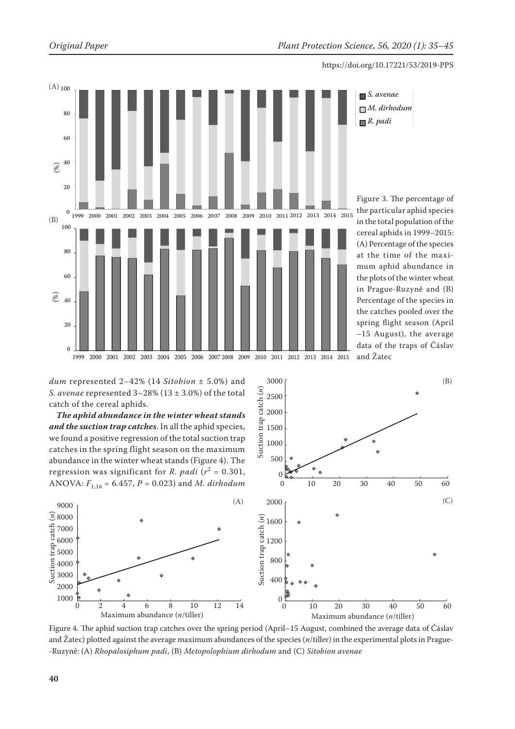

Figure 3. The percentage of the particular aphid species in the total population of the cereal aphids in 1999–2015: (A) Percentage of the species at the time of the maximum aphid abundance in the plots of the winter wheat in Prague-Ruzyně and (B) Percentage of the species in the catches pooled over the spring flight season (April –15 August), the average data of the traps of Čáslav and Žatec

*dum* represented 2–42% (14 *Sitobion* ± 5.0%) and *S. avenae* represented 3–28% (13 ± 3.0%) of the total catch of the cereal aphids.

*The aphid abundance in the winter wheat stands and the suction trap catches*. In all the aphid species, we found a positive regression of the total suction trap catches in the spring flight season on the maximum abundance in the winter wheat stands (Figure 4). The regression was significant for *R. padi* ( $r^2 = 0.301$ , ANOVA: *F*1,16 = 6.457, *P* = 0.023) and *M. dirhodum*



1000 1000 2000 2000 3000 3000 4000 4000 5000 6000 7000 7000 8000 8000 action trap catch Maximum abundance  $(n$ /tiller) Maximum abundance (*n*/tiller) Maximum abundance (*n*/tiller) S. avenae represented 3-28% (13 ± 3.0%) of the total  $\frac{3}{5}$  2500<br>
catch of the cereal aphids.<br>
The aphid abundance in the winter wheat stands<br>
and the suction trap catches in the winter wheat stands<br>
abundance in the v 6000 5000 0 2 4 6 8 10 12 14

Figure 4. The aphid suction trap catches over the spring period (April–15 August, combined the average data of Čáslav and Žatec) plotted against the average maximum abundances of the species (*n*/tiller) in the experimental plots in Prague-

9000 9000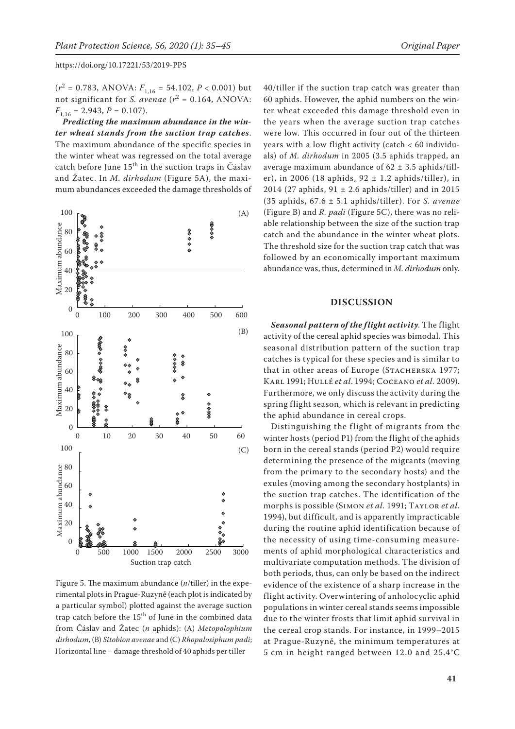$(r^2 = 0.783, ANOVA: F_{1,16} = 54.102, P < 0.001)$  but not significant for *S. avenae*  $(r^2 = 0.164, ANOVA:$  $F_{1,16} = 2.943, P = 0.107$ .

*Predicting the maximum abundance in the winter wheat stands from the suction trap catches*. The maximum abundance of the specific species in the winter wheat was regressed on the total average catch before June 15<sup>th</sup> in the suction traps in Čáslav and Žatec. In *M. dirhodum* (Figure 5A), the maximum abundances exceeded the damage thresholds of



Figure 5. The maximum abundance (*n*/tiller) in the experimental plots in Prague-Ruzyně (each plot is indicated by a particular symbol) plotted against the average suction trap catch before the  $15<sup>th</sup>$  of June in the combined data from Čáslav and Žatec (*n* aphids): (A) *Metopolophium dirhodum*, (B) *Sitobion avenae* and (C) *Rhopalosiphum padi*; Horizontal line – damage threshold of 40 aphids per tiller

40/tiller if the suction trap catch was greater than 60 aphids. However, the aphid numbers on the winter wheat exceeded this damage threshold even in the years when the average suction trap catches were low. This occurred in four out of the thirteen years with a low flight activity (catch < 60 individuals) of *M. dirhodum* in 2005 (3.5 aphids trapped, an average maximum abundance of  $62 \pm 3.5$  aphids/tiller), in 2006 (18 aphids,  $92 \pm 1.2$  aphids/tiller), in 2014 (27 aphids,  $91 \pm 2.6$  aphids/tiller) and in 2015 (35 aphids, 67.6 ± 5.1 aphids/tiller). For *S. avenae* (Figure B) and *R. padi* (Figure 5C), there was no reliable relationship between the size of the suction trap catch and the abundance in the winter wheat plots. The threshold size for the suction trap catch that was followed by an economically important maximum abundance was, thus, determined in *M. dirhodum* only.

# **DISCUSSION**

*Seasonal pattern of the flight activity*. The flight activity of the cereal aphid species was bimodal. This seasonal distribution pattern of the suction trap catches is typical for these species and is similar to that in other areas of Europe (STACHERSKA 1977; Karl 1991; Hullé *et al*. 1994; Coceano *et al.* 2009). Furthermore, we only discuss the activity during the spring flight season, which is relevant in predicting the aphid abundance in cereal crops.

Distinguishing the flight of migrants from the winter hosts (period P1) from the flight of the aphids born in the cereal stands (period P2) would require determining the presence of the migrants (moving from the primary to the secondary hosts) and the exules (moving among the secondary hostplants) in the suction trap catches. The identification of the morphs is possible (Simon *et al.* 1991; Taylor *et al*. 1994), but difficult, and is apparently impracticable during the routine aphid identification because of the necessity of using time-consuming measurements of aphid morphological characteristics and multivariate computation methods. The division of both periods, thus, can only be based on the indirect evidence of the existence of a sharp increase in the flight activity. Overwintering of anholocyclic aphid populations in winter cereal stands seems impossible due to the winter frosts that limit aphid survival in the cereal crop stands. For instance, in 1999–2015 at Prague-Ruzyně, the minimum temperatures at 5 cm in height ranged between 12.0 and 25.4°C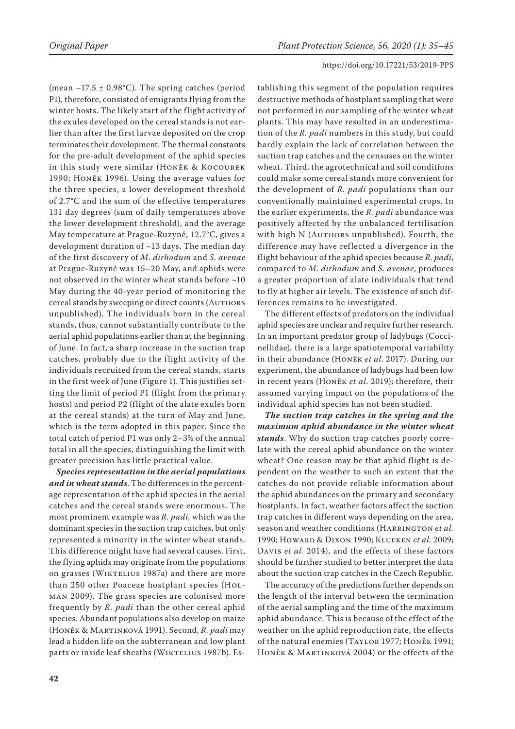(mean  $-17.5 \pm 0.98$ °C). The spring catches (period P1), therefore, consisted of emigrants flying from the winter hosts. The likely start of the flight activity of the exules developed on the cereal stands is not earlier than after the first larvae deposited on the crop terminates their development. The thermal constants for the pre-adult development of the aphid species in this study were similar (Honěk & Kocourek 1990; Honěk 1996). Using the average values for the three species, a lower development threshold of 2.7°C and the sum of the effective temperatures 131 day degrees (sum of daily temperatures above the lower development threshold), and the average May temperature at Prague-Ruzyně, 12.7°C, gives a development duration of ~13 days. The median day of the first discovery of *M. dirhodum* and *S. avenae* at Prague-Ruzyně was 15–20 May, and aphids were not observed in the winter wheat stands before ~10 May during the 40-year period of monitoring the cereal stands by sweeping or direct counts (Authors unpublished). The individuals born in the cereal stands, thus, cannot substantially contribute to the aerial aphid populations earlier than at the beginning of June. In fact, a sharp increase in the suction trap catches, probably due to the flight activity of the individuals recruited from the cereal stands, starts in the first week of June (Figure 1). This justifies setting the limit of period P1 (flight from the primary hosts) and period P2 (flight of the alate exules born at the cereal stands) at the turn of May and June, which is the term adopted in this paper. Since the total catch of period P1 was only 2–3% of the annual total in all the species, distinguishing the limit with greater precision has little practical value.

*Species representation in the aerial populations and in wheat stands*. The differences in the percentage representation of the aphid species in the aerial catches and the cereal stands were enormous. The most prominent example was *R. padi,* which was the dominant species in the suction trap catches, but only represented a minority in the winter wheat stands. This difference might have had several causes. First, the flying aphids may originate from the populations on grasses (WIKTELIUS 1987a) and there are more than 250 other Poaceae hostplant species (Holman 2009). The grass species are colonised more frequently by *R. padi* than the other cereal aphid species. Abundant populations also develop on maize (Honěk & Martinková 1991). Second, *R. padi* may lead a hidden life on the subterranean and low plant parts or inside leaf sheaths (WIKTELIUS 1987b). Establishing this segment of the population requires destructive methods of hostplant sampling that were not performed in our sampling of the winter wheat plants. This may have resulted in an underestimation of the *R. padi* numbers in this study, but could hardly explain the lack of correlation between the suction trap catches and the censuses on the winter wheat. Third, the agrotechnical and soil conditions could make some cereal stands more convenient for the development of *R. padi* populations than our conventionally maintained experimental crops. In the earlier experiments, the *R. padi* abundance was positively affected by the unbalanced fertilisation with high N (AUTHORS unpublished). Fourth, the difference may have reflected a divergence in the flight behaviour of the aphid species because *R. padi*, compared to *M. dirhodum* and *S. avenae*, produces a greater proportion of alate individuals that tend to fly at higher air levels. The existence of such differences remains to be investigated.

The different effects of predators on the individual aphid species are unclear and require further research. In an important predator group of ladybugs (Coccinellidae), there is a large spatiotemporal variability in their abundance (Honěk *et al*. 2017). During our experiment, the abundance of ladybugs had been low in recent years (Honěk *et al*. 2019); therefore, their assumed varying impact on the populations of the individual aphid species has not been studied.

*The suction trap catches in the spring and the maximum aphid abundance in the winter wheat stands*. Why do suction trap catches poorly correlate with the cereal aphid abundance on the winter wheat? One reason may be that aphid flight is dependent on the weather to such an extent that the catches do not provide reliable information about the aphid abundances on the primary and secondary hostplants. In fact, weather factors affect the suction trap catches in different ways depending on the area, season and weather conditions (HARRINGTON et al. 1990; Howard & Dixon 1990; Klueken *et al.* 2009; Davis *et al.* 2014), and the effects of these factors should be further studied to better interpret the data about the suction trap catches in the Czech Republic.

The accuracy of the predictions further depends on the length of the interval between the termination of the aerial sampling and the time of the maximum aphid abundance. This is because of the effect of the weather on the aphid reproduction rate, the effects of the natural enemies (Taylor 1977; Honěk 1991; Honěk & Martinková 2004) or the effects of the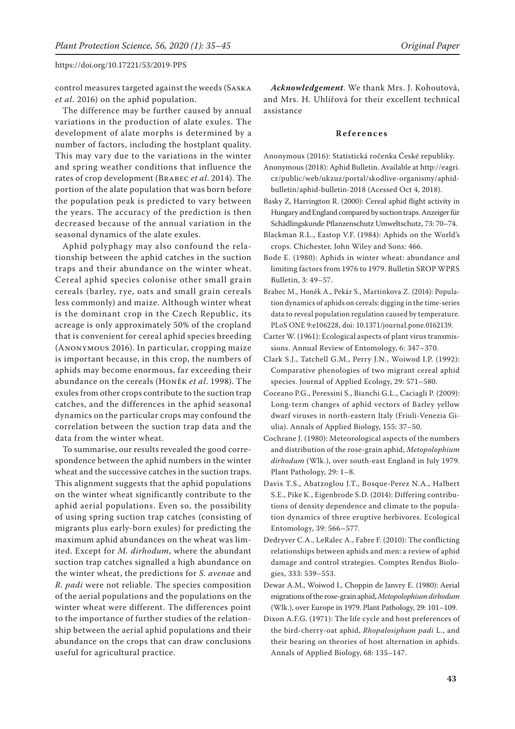control measures targeted against the weeds (Saska *et al.* 2016) on the aphid population.

The difference may be further caused by annual variations in the production of alate exules. The development of alate morphs is determined by a number of factors, including the hostplant quality. This may vary due to the variations in the winter and spring weather conditions that influence the rates of crop development (Brabec *et al*. 2014). The portion of the alate population that was born before the population peak is predicted to vary between the years. The accuracy of the prediction is then decreased because of the annual variation in the seasonal dynamics of the alate exules.

Aphid polyphagy may also confound the relationship between the aphid catches in the suction traps and their abundance on the winter wheat. Cereal aphid species colonise other small grain cereals (barley, rye, oats and small grain cereals less commonly) and maize. Although winter wheat is the dominant crop in the Czech Republic, its acreage is only approximately 50% of the cropland that is convenient for cereal aphid species breeding (Anonymous 2016). In particular, cropping maize is important because, in this crop, the numbers of aphids may become enormous, far exceeding their abundance on the cereals (Honěk *et al*. 1998). The exules from other crops contribute to the suction trap catches, and the differences in the aphid seasonal dynamics on the particular crops may confound the correlation between the suction trap data and the data from the winter wheat.

To summarise, our results revealed the good correspondence between the aphid numbers in the winter wheat and the successive catches in the suction traps. This alignment suggests that the aphid populations on the winter wheat significantly contribute to the aphid aerial populations. Even so, the possibility of using spring suction trap catches (consisting of migrants plus early-born exules) for predicting the maximum aphid abundances on the wheat was limited. Except for *M. dirhodum*, where the abundant suction trap catches signalled a high abundance on the winter wheat, the predictions for *S. avenae* and *R. padi* were not reliable. The species composition of the aerial populations and the populations on the winter wheat were different. The differences point to the importance of further studies of the relationship between the aerial aphid populations and their abundance on the crops that can draw conclusions useful for agricultural practice.

*Acknowledgement*. We thank Mrs. J. Kohoutová, and Mrs. H. Uhlířová for their excellent technical assistance

# **References**

- Anonymous (2016): Statistická ročenka České republiky.
- Anonymous (2018): Aphid Bulletin. Available at http://eagri. cz/public/web/ukzuz/portal/skodlive-organismy/aphidbulletin/aphid-bulletin-2018 (Acessed Oct 4, 2018).
- Basky Z, Harrington R. (2000): Cereal aphid flight activity in Hungary and England compared by suction traps. Anzeiger für Schädlingskunde Pflanzenschutz Umweltschutz, 73: 70–74.
- Blackman R.L., Eastop V.F. (1984): Aphids on the World's crops. Chichester, John Wiley and Sons: 466.
- Bode E. (1980): Aphids in winter wheat: abundance and limiting factors from 1976 to 1979. Bulletin SROP WPRS Bulletin, 3: 49–57.
- Brabec M., Honěk A., Pekár S., Martinkova Z. (2014): Population dynamics of aphids on cereals: digging in the time-series data to reveal population regulation caused by temperature. PLoS ONE 9:e106228, doi: 10.1371/journal.pone.0162139.
- Carter W. (1961): Ecological aspects of plant virus transmissions. Annual Review of Entomology, 6: 347–370.
- Clark S.J., Tatchell G.M., Perry J.N., Woiwod I.P. (1992): Comparative phenologies of two migrant cereal aphid species. Journal of Applied Ecology, 29: 571–580.
- Coceano P.G., Peressini S., Bianchi G.L., Caciagli P. (2009): Long-term changes of aphid vectors of Barley yellow dwarf viruses in north-eastern Italy (Friuli-Venezia Giulia). Annals of Applied Biology, 155: 37–50.
- Cochrane J. (1980): Meteorological aspects of the numbers and distribution of the rose-grain aphid, *Metopolophium dirhodum* (Wlk.), over south-east England in July 1979. Plant Pathology, 29: 1–8.
- Davis T.S., Abatzoglou J.T., Bosque-Perez N.A., Halbert S.E., Pike K., Eigenbrode S.D. (2014): Differing contributions of density dependence and climate to the population dynamics of three eruptive herbivores. Ecological Entomology, 39: 566–577.
- Dedryver C.A., LeRalec A., Fabre F. (2010): The conflicting relationships between aphids and men: a review of aphid damage and control strategies. Comptes Rendus Biologies, 333: 539–553.
- Dewar A.M., Woiwod I., Choppin de Janvry E. (1980): Aerial migrations of the rose-grain aphid, *Metopolophium dirhodum*  (Wlk.), over Europe in 1979. Plant Pathology, 29: 101–109.
- Dixon A.F.G. (1971): The life cycle and host preferences of the bird-cherry-oat aphid, *Rhopalosiphum padi* L., and their bearing on theories of host alternation in aphids. Annals of Applied Biology, 68: 135–147.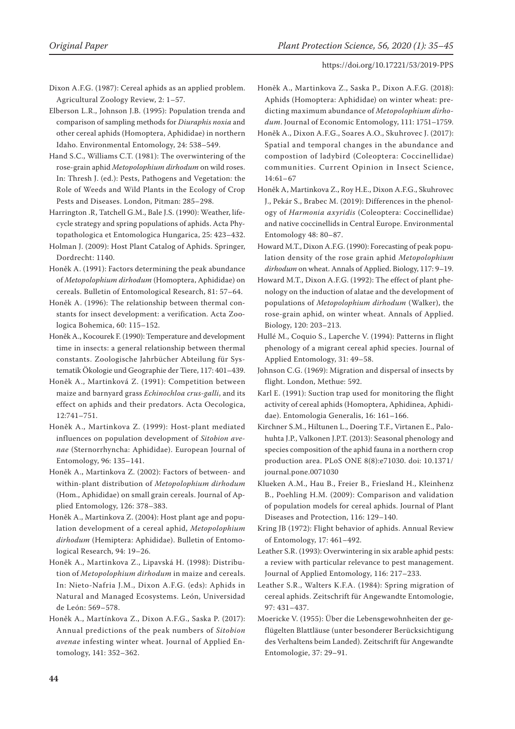Dixon A.F.G. (1987): Cereal aphids as an applied problem. Agricultural Zoology Review, 2: 1–57.

Elberson L.R., Johnson J.B. (1995): Population trenda and comparison of sampling methods for *Diuraphis noxia* and other cereal aphids (Homoptera, Aphididae) in northern Idaho. Environmental Entomology, 24: 538–549.

Hand S.C., Williams C.T. (1981): The overwintering of the rose-grain aphid *Metopolophium dirhodum* on wild roses. In: Thresh J. (ed.): Pests, Pathogens and Vegetation: the Role of Weeds and Wild Plants in the Ecology of Crop Pests and Diseases. London, Pitman: 285–298.

Harrington .R, Tatchell G.M., Bale J.S. (1990): Weather, lifecycle strategy and spring populations of aphids. Acta Phytopathologica et Entomologica Hungarica, 25: 423–432.

Holman J. (2009): Host Plant Catalog of Aphids. Springer, Dordrecht: 1140.

Honěk A. (1991): Factors determining the peak abundance of *Metopolophium dirhodum* (Homoptera, Aphididae) on cereals. Bulletin of Entomological Research, 81: 57–64.

Honěk A. (1996): The relationship between thermal constants for insect development: a verification. Acta Zoologica Bohemica, 60: 115–152.

Honěk A., Kocourek F. (1990): Temperature and development time in insects: a general relationship between thermal constants. Zoologische Jahrbücher Abteilung für Systematik Ökologie und Geographie der Tiere, 117: 401–439.

Honěk A., Martinková Z. (1991): Competition between maize and barnyard grass *Echinochloa crus*-*galli*, and its effect on aphids and their predators. Acta Oecologica, 12:741–751.

Honěk A., Martinkova Z. (1999): Host-plant mediated influences on population development of *Sitobion avenae* (Sternorrhyncha: Aphididae). European Journal of Entomology, 96: 135–141.

Honěk A., Martinkova Z. (2002): Factors of between- and within-plant distribution of *Metopolophium dirhodum* (Hom., Aphididae) on small grain cereals. Journal of Applied Entomology, 126: 378–383.

Honěk A., Martinkova Z. (2004): Host plant age and population development of a cereal aphid, *Metopolophium dirhodum* (Hemiptera: Aphididae). Bulletin of Entomological Research, 94: 19–26.

Honěk A., Martinkova Z., Lipavská H. (1998): Distribution of *Metopolophium dirhodum* in maize and cereals. In: Nieto-Nafria J.M., Dixon A.F.G. (eds): Aphids in Natural and Managed Ecosystems. León, Universidad de León: 569–578.

Honěk A., Martínkova Z., Dixon A.F.G., Saska P. (2017): Annual predictions of the peak numbers of *Sitobion avenae* infesting winter wheat. Journal of Applied Entomology, 141: 352–362.

Honěk A., Martinkova Z., Saska P., Dixon A.F.G. (2018): Aphids (Homoptera: Aphididae) on winter wheat: predicting maximum abundance of *Metopolophium dirhodum*. Journal of Economic Entomology, 111: 1751–1759.

Honěk A., Dixon A.F.G., Soares A.O., Skuhrovec J. (2017): Spatial and temporal changes in the abundance and compostion of ladybird (Coleoptera: Coccinellidae) communities. Current Opinion in Insect Science,  $14.61 - 67$ 

Honěk A, Martinkova Z., Roy H.E., Dixon A.F.G., Skuhrovec J., Pekár S., Brabec M. (2019): Differences in the phenology of *Harmonia axyridis* (Coleoptera: Coccinellidae) and native coccinellids in Central Europe. Environmental Entomology 48: 80–87.

Howard M.T., Dixon A.F.G. (1990): Forecasting of peak population density of the rose grain aphid *Metopolophium dirhodum* on wheat. Annals of Applied. Biology, 117: 9–19.

Howard M.T., Dixon A.F.G. (1992): The effect of plant phenology on the induction of alatae and the development of populations of *Metopolophium dirhodum* (Walker), the rose-grain aphid, on winter wheat. Annals of Applied. Biology, 120: 203–213.

Hullé M., Coquio S., Laperche V. (1994): Patterns in flight phenology of a migrant cereal aphid species. Journal of Applied Entomology, 31: 49–58.

Johnson C.G. (1969): Migration and dispersal of insects by flight. London, Methue: 592.

Karl E. (1991): Suction trap used for monitoring the flight activity of cereal aphids (Homoptera, Aphidinea, Aphididae). Entomologia Generalis, 16: 161–166.

Kirchner S.M., Hiltunen L., Doering T.F., Virtanen E., Palohuhta J.P., Valkonen J.P.T. (2013): Seasonal phenology and species composition of the aphid fauna in a northern crop production area. PLoS ONE 8(8):e71030. doi: 10.1371/ journal.pone.0071030

Klueken A.M., Hau B., Freier B., Friesland H., Kleinhenz B., Poehling H.M. (2009): Comparison and validation of population models for cereal aphids. Journal of Plant Diseases and Protection, 116: 129–140.

Kring JB (1972): Flight behavior of aphids. Annual Review of Entomology, 17: 461–492.

Leather S.R. (1993): Overwintering in six arable aphid pests: a review with particular relevance to pest management. Journal of Applied Entomology, 116: 217–233.

Leather S.R., Walters K.F.A. (1984): Spring migration of cereal aphids. Zeitschrift für Angewandte Entomologie, 97: 431–437.

Moericke V. (1955): Über die Lebensgewohnheiten der geflügelten Blattläuse (unter besonderer Berücksichtigung des Verhaltens beim Landed). Zeitschrift für Angewandte Entomologie, 37: 29–91.